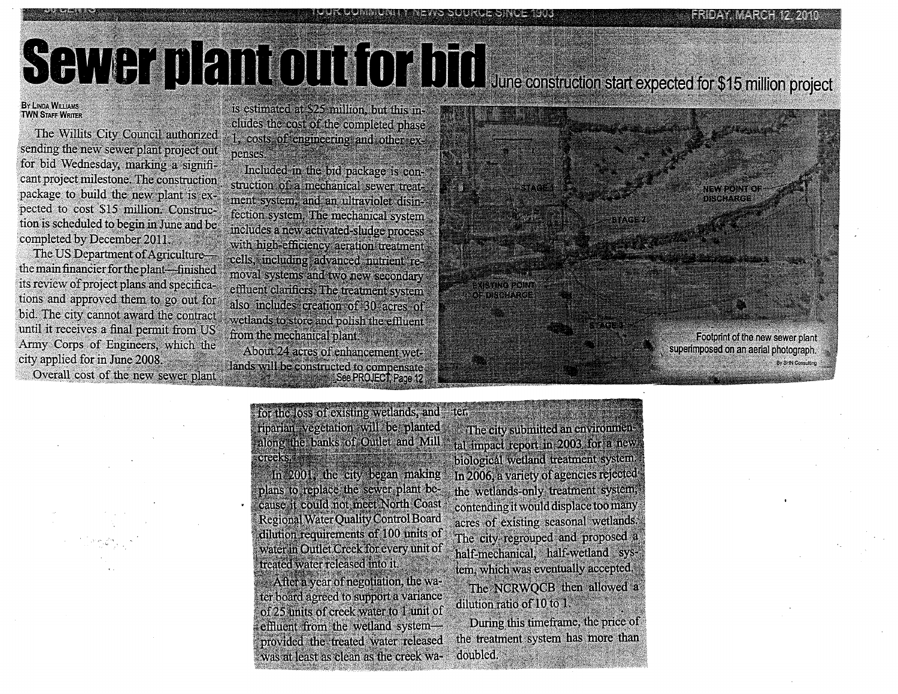# SCHWEI DENIOUT DI June construction start expected for \$15 million project

### BY LINDA WILLIAMS **TWN STAFF WRITER**

The Willits City Council authorized sending the new sewer plant project out for bid Wednesday, marking a significant project milestone. The construction package to build the new plant is expected to cost \$15 million: Construction is scheduled to begin in June and be completed by December 2011.

The US Department of Agriculture--the main financier for the plant-finished its review of project plans and specifications and approved them to go out for bid. The city cannot award the contract 'until it receives a final permit from LS Army Corps of Engineers, which the city applied for in June 2008.

Overall cost of the new sewer plant

is estimated at \$25 million, but this includes the cost of the completed phase . 1, costs of engineering and other expenses.

Included in the bid package is construction of a mechanical sewer treatment system, and an ultraviolet disinfection system, The mechanical system includes a new activated-sludge process with high-efficiency aeration treatment cells, including advanced nutrient removal systems and two new secondary effluent clarifiers: The treatment system also includes creation of 30 acres of wetlands to store and polish the effluent from the mechanical plant.

About 24 acres of enhancement wetlands will be constructed to compensate. ee PROJECT; Page 12





in 2001, the city began making plans, to replace the sewer plant because it could not Meet North Coast Regional Wate: Quality Control Board dilution requirements of 100 units of water in Outlet Creek for every' unit of treated water rgleased into it.

After a year of negotiation, the water board agreed to support a variance of 25 units of creek water to 1 unit of effluent from the wetland system provided the treated water released was at least as clean as the creek wa-

The city submitted an environmental impact report in 2003 for a new biological wetland treatment system. In 2006, a variety of agencies rejectedthe wetlands-only treatment system; contending it would displace too many acres of existing seasonal wetlands: The city regrouped and proposed half-mechanical, half-wetland system, which was eventually accepted. The NCRWQCB then allowed a dilution ratio of 10 to 1.

1**f** 

Unit news Source Singeriou

During this timeframe, the price of the treatment system has more than doubled.